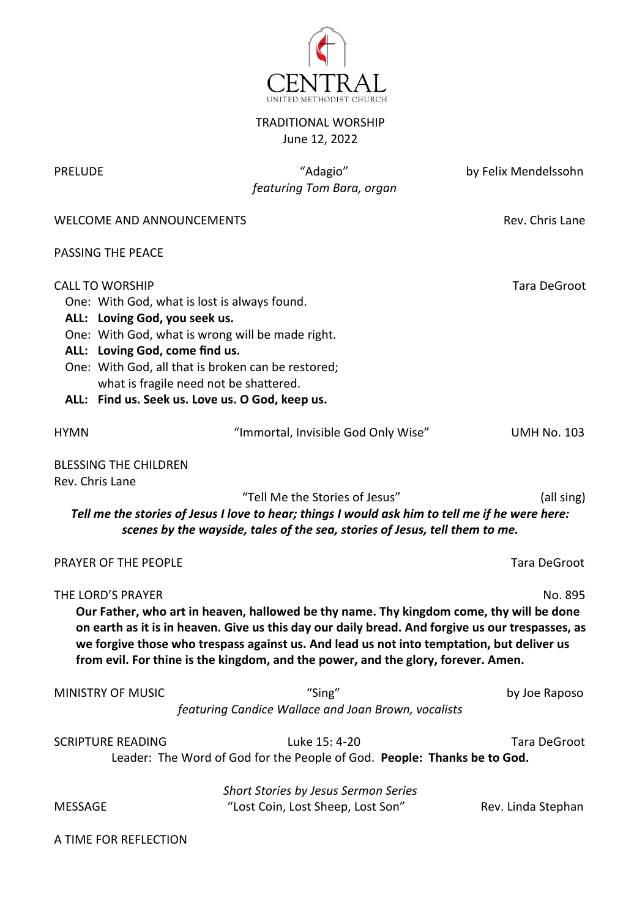

## TRADITIONAL WORSHIP June 12, 2022

PRELUDE "Adagio" by Felix Mendelssohn  *featuring Tom Bara, organ*

WELCOME AND ANNOUNCEMENTS **Rev. Chris Lane** 

PASSING THE PEACE

| <b>CALL TO WORSHIP</b><br>ALL: Loving God, you seek us.<br>ALL: Loving God, come find us. | One: With God, what is lost is always found.<br>One: With God, what is wrong will be made right.<br>One: With God, all that is broken can be restored;<br>what is fragile need not be shattered.<br>ALL: Find us. Seek us. Love us. O God, keep us.                                                                                                                           | Tara DeGroot        |
|-------------------------------------------------------------------------------------------|-------------------------------------------------------------------------------------------------------------------------------------------------------------------------------------------------------------------------------------------------------------------------------------------------------------------------------------------------------------------------------|---------------------|
| <b>HYMN</b>                                                                               | "Immortal, Invisible God Only Wise"                                                                                                                                                                                                                                                                                                                                           | <b>UMH No. 103</b>  |
| <b>BLESSING THE CHILDREN</b><br>Rev. Chris Lane                                           | "Tell Me the Stories of Jesus"<br>Tell me the stories of Jesus I love to hear; things I would ask him to tell me if he were here:<br>scenes by the wayside, tales of the sea, stories of Jesus, tell them to me.                                                                                                                                                              | (all sing)          |
| PRAYER OF THE PEOPLE                                                                      |                                                                                                                                                                                                                                                                                                                                                                               | Tara DeGroot        |
| THE LORD'S PRAYER                                                                         | Our Father, who art in heaven, hallowed be thy name. Thy kingdom come, thy will be done<br>on earth as it is in heaven. Give us this day our daily bread. And forgive us our trespasses, as<br>we forgive those who trespass against us. And lead us not into temptation, but deliver us<br>from evil. For thine is the kingdom, and the power, and the glory, forever. Amen. | No. 895             |
| <b>MINISTRY OF MUSIC</b>                                                                  | "Sing"<br>featuring Candice Wallace and Joan Brown, vocalists                                                                                                                                                                                                                                                                                                                 | by Joe Raposo       |
| <b>SCRIPTURE READING</b>                                                                  | Luke 15: 4-20<br>Leader: The Word of God for the People of God. People: Thanks be to God.                                                                                                                                                                                                                                                                                     | <b>Tara DeGroot</b> |
| MESSAGE                                                                                   | Short Stories by Jesus Sermon Series<br>"Lost Coin, Lost Sheep, Lost Son"                                                                                                                                                                                                                                                                                                     | Rev. Linda Stephan  |

A TIME FOR REFLECTION